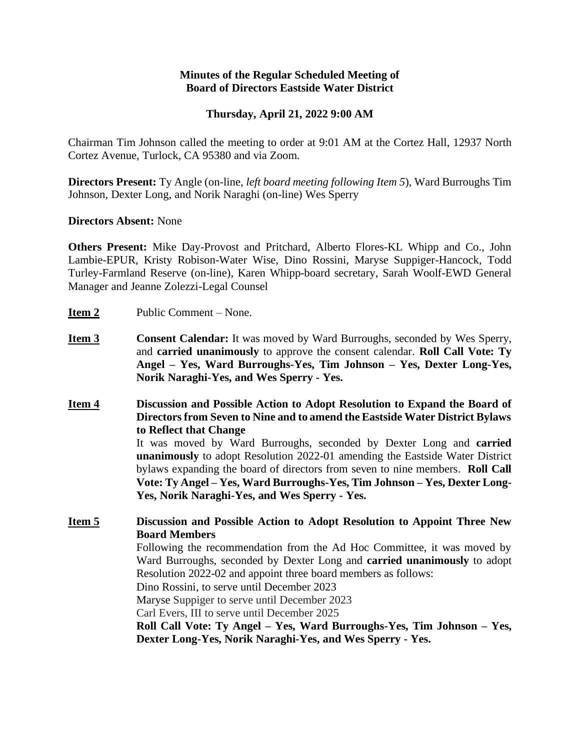## **Minutes of the Regular Scheduled Meeting of Board of Directors Eastside Water District**

## **Thursday, April 21, 2022 9:00 AM**

Chairman Tim Johnson called the meeting to order at 9:01 AM at the Cortez Hall, 12937 North Cortez Avenue, Turlock, CA 95380 and via Zoom.

**Directors Present:** Ty Angle (on-line, *left board meeting following Item 5*), Ward Burroughs Tim Johnson, Dexter Long, and Norik Naraghi (on-line) Wes Sperry

#### **Directors Absent:** None

**Others Present:** Mike Day-Provost and Pritchard, Alberto Flores-KL Whipp and Co., John Lambie-EPUR, Kristy Robison-Water Wise, Dino Rossini, Maryse Suppiger-Hancock, Todd Turley-Farmland Reserve (on-line), Karen Whipp-board secretary, Sarah Woolf-EWD General Manager and Jeanne Zolezzi-Legal Counsel

- **Item 2** Public Comment None.
- **Item 3 Consent Calendar:** It was moved by Ward Burroughs, seconded by Wes Sperry, and **carried unanimously** to approve the consent calendar. **Roll Call Vote: Ty Angel – Yes, Ward Burroughs-Yes, Tim Johnson – Yes, Dexter Long-Yes, Norik Naraghi-Yes, and Wes Sperry - Yes.**
- **Item 4 Discussion and Possible Action to Adopt Resolution to Expand the Board of Directors from Seven to Nine and to amend the Eastside Water District Bylaws to Reflect that Change** It was moved by Ward Burroughs, seconded by Dexter Long and **carried unanimously** to adopt Resolution 2022-01 amending the Eastside Water District

bylaws expanding the board of directors from seven to nine members. **Roll Call Vote: Ty Angel – Yes, Ward Burroughs-Yes, Tim Johnson – Yes, Dexter Long-Yes, Norik Naraghi-Yes, and Wes Sperry - Yes.**

**Item 5 Discussion and Possible Action to Adopt Resolution to Appoint Three New Board Members**

> Following the recommendation from the Ad Hoc Committee, it was moved by Ward Burroughs, seconded by Dexter Long and **carried unanimously** to adopt Resolution 2022-02 and appoint three board members as follows:

Dino Rossini, to serve until December 2023

Maryse Suppiger to serve until December 2023

Carl Evers, III to serve until December 2025

**Roll Call Vote: Ty Angel – Yes, Ward Burroughs-Yes, Tim Johnson – Yes, Dexter Long-Yes, Norik Naraghi-Yes, and Wes Sperry - Yes.**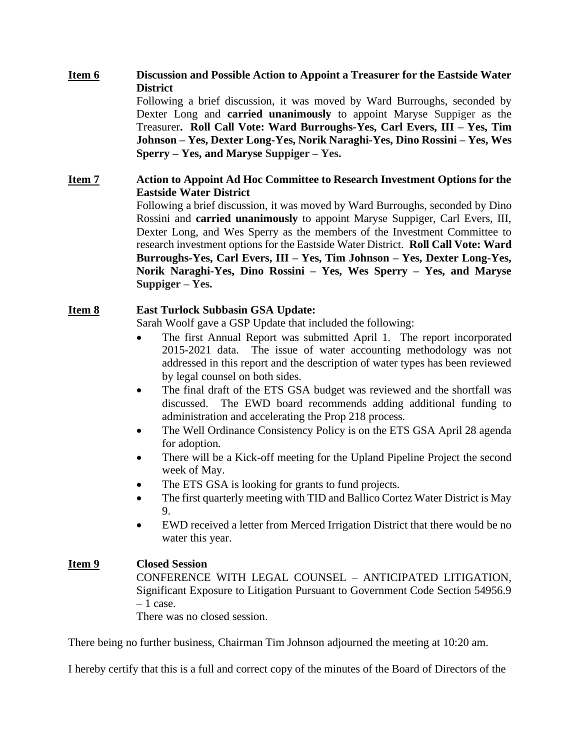# **Item 6 Discussion and Possible Action to Appoint a Treasurer for the Eastside Water District**

Following a brief discussion, it was moved by Ward Burroughs, seconded by Dexter Long and **carried unanimously** to appoint Maryse Suppiger as the Treasurer**. Roll Call Vote: Ward Burroughs-Yes, Carl Evers, III – Yes, Tim Johnson – Yes, Dexter Long-Yes, Norik Naraghi-Yes, Dino Rossini – Yes, Wes Sperry – Yes, and Maryse Suppiger – Yes.**

## **Item 7 Action to Appoint Ad Hoc Committee to Research Investment Options for the Eastside Water District**

Following a brief discussion, it was moved by Ward Burroughs, seconded by Dino Rossini and **carried unanimously** to appoint Maryse Suppiger, Carl Evers, III, Dexter Long, and Wes Sperry as the members of the Investment Committee to research investment options for the Eastside Water District. **Roll Call Vote: Ward Burroughs-Yes, Carl Evers, III – Yes, Tim Johnson – Yes, Dexter Long-Yes, Norik Naraghi-Yes, Dino Rossini – Yes, Wes Sperry – Yes, and Maryse Suppiger – Yes.**

# **Item 8 East Turlock Subbasin GSA Update:**

Sarah Woolf gave a GSP Update that included the following:

- The first Annual Report was submitted April 1. The report incorporated 2015-2021 data. The issue of water accounting methodology was not addressed in this report and the description of water types has been reviewed by legal counsel on both sides.
- The final draft of the ETS GSA budget was reviewed and the shortfall was discussed. The EWD board recommends adding additional funding to administration and accelerating the Prop 218 process.
- The Well Ordinance Consistency Policy is on the ETS GSA April 28 agenda for adoption.
- There will be a Kick-off meeting for the Upland Pipeline Project the second week of May.
- The ETS GSA is looking for grants to fund projects.
- The first quarterly meeting with TID and Ballico Cortez Water District is May 9.
- EWD received a letter from Merced Irrigation District that there would be no water this year.

# **Item 9 Closed Session**

CONFERENCE WITH LEGAL COUNSEL – ANTICIPATED LITIGATION, Significant Exposure to Litigation Pursuant to Government Code Section 54956.9  $-1$  case.

There was no closed session.

There being no further business, Chairman Tim Johnson adjourned the meeting at 10:20 am.

I hereby certify that this is a full and correct copy of the minutes of the Board of Directors of the